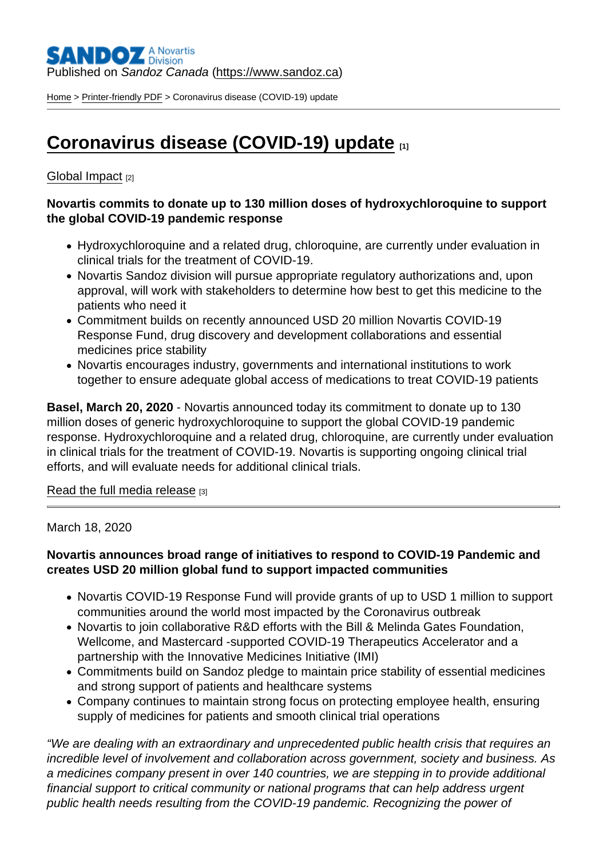# Published on Sandoz Canada [\(https://www.sandoz.ca](https://www.sandoz.ca))

[Home](https://www.sandoz.ca/en) > [Printer-friendly PDF](https://www.sandoz.ca/en/printpdf) > Coronavirus disease (COVID-19) update

# [Coronavirus disease \(COVID-19\) update](https://www.sandoz.ca/en/stories/global-impact/coronavirus-disease-covid-19-update)

# [Global Impact](https://www.sandoz.ca/en/stories/global-impact) [2]

Novartis commits to donate up to 130 million doses of hydroxychloroquine to support the global COVID-19 pandemic response

- Hydroxychloroquine and a related drug, chloroquine, are currently under evaluation in clinical trials for the treatment of COVID-19.
- Novartis Sandoz division will pursue appropriate regulatory authorizations and, upon approval, will work with stakeholders to determine how best to get this medicine to the patients who need it
- Commitment builds on recently announced USD 20 million Novartis COVID-19 Response Fund, drug discovery and development collaborations and essential medicines price stability
- Novartis encourages industry, governments and international institutions to work together to ensure adequate global access of medications to treat COVID-19 patients

Basel, March 20, 2020 - Novartis announced today its commitment to donate up to 130 million doses of generic hydroxychloroquine to support the global COVID-19 pandemic response. Hydroxychloroquine and a related drug, chloroquine, are currently under evaluation in clinical trials for the treatment of COVID-19. Novartis is supporting ongoing clinical trial efforts, and will evaluate needs for additional clinical trials.

### [Read the full media release](https://www.novartis.com/news/media-releases/novartis-commits-donate-130-million-doses-hydroxychloroquine-support-global-covid-19-pandemic-response) [3]

### March 18, 2020

Novartis announces broad range of initiatives to respond to COVID-19 Pandemic and creates USD 20 million global fund to support impacted communities

- Novartis COVID-19 Response Fund will provide grants of up to USD 1 million to support communities around the world most impacted by the Coronavirus outbreak
- Novartis to join collaborative R&D efforts with the Bill & Melinda Gates Foundation, Wellcome, and Mastercard -supported COVID-19 Therapeutics Accelerator and a partnership with the Innovative Medicines Initiative (IMI)
- Commitments build on Sandoz pledge to maintain price stability of essential medicines and strong support of patients and healthcare systems
- Company continues to maintain strong focus on protecting employee health, ensuring supply of medicines for patients and smooth clinical trial operations

"We are dealing with an extraordinary and unprecedented public health crisis that requires an incredible level of involvement and collaboration across government, society and business. As a medicines company present in over 140 countries, we are stepping in to provide additional financial support to critical community or national programs that can help address urgent public health needs resulting from the COVID-19 pandemic. Recognizing the power of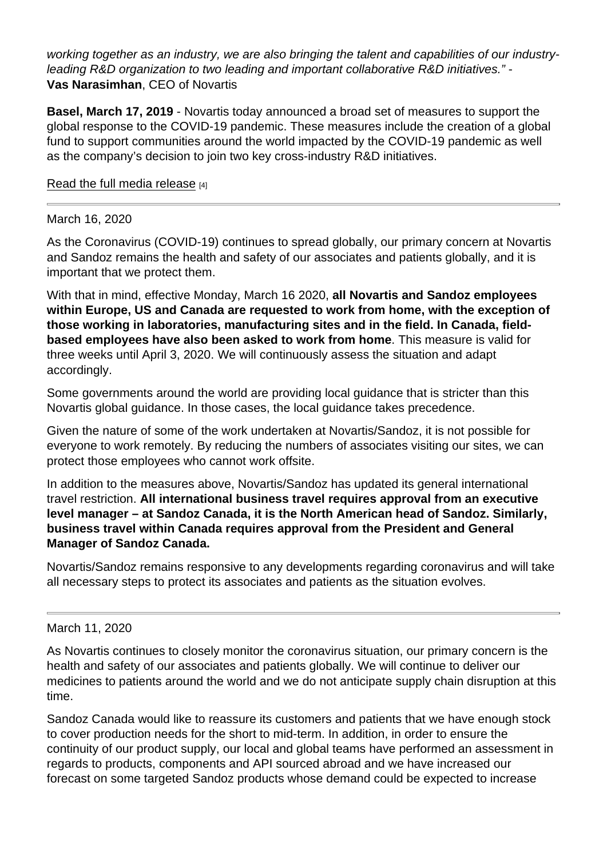working together as an industry, we are also bringing the talent and capabilities of our industryleading R&D organization to two leading and important collaborative R&D initiatives." - Vas Narasimhan , CEO of Novartis

Basel, March 17, 2019 - Novartis today announced a broad set of measures to support the global response to the COVID-19 pandemic. These measures include the creation of a global fund to support communities around the world impacted by the COVID-19 pandemic as well as the company's decision to join two key cross-industry R&D initiatives.

### [Read the full media release](https://www.novartis.com/news/media-releases/novartis-announces-broad-range-initiatives-respond-covid-19-pandemic-creates-usd-20-million-global-fund-support-impacted-communities) [4]

### March 16, 2020

As the Coronavirus (COVID-19) continues to spread globally, our primary concern at Novartis and Sandoz remains the health and safety of our associates and patients globally, and it is important that we protect them.

With that in mind, effective Monday, March 16 2020, all Novartis and Sandoz employees within Europe, US and Canada are requested to work from home, with the exception of those working in laboratories, manufacturing sites and in the field. In Canada, fieldbased employees have also been asked to work from home . This measure is valid for three weeks until April 3, 2020. We will continuously assess the situation and adapt accordingly.

Some governments around the world are providing local guidance that is stricter than this Novartis global guidance. In those cases, the local guidance takes precedence.

Given the nature of some of the work undertaken at Novartis/Sandoz, it is not possible for everyone to work remotely. By reducing the numbers of associates visiting our sites, we can protect those employees who cannot work offsite.

In addition to the measures above, Novartis/Sandoz has updated its general international travel restriction. All international business travel requires approval from an executive level manager – at Sandoz Canada, it is the North American head of Sandoz. Similarly, business travel within Canada requires approval from the President and General Manager of Sandoz Canada.

Novartis/Sandoz remains responsive to any developments regarding coronavirus and will take all necessary steps to protect its associates and patients as the situation evolves.

#### March 11, 2020

As Novartis continues to closely monitor the coronavirus situation, our primary concern is the health and safety of our associates and patients globally. We will continue to deliver our medicines to patients around the world and we do not anticipate supply chain disruption at this time.

Sandoz Canada would like to reassure its customers and patients that we have enough stock to cover production needs for the short to mid-term. In addition, in order to ensure the continuity of our product supply, our local and global teams have performed an assessment in regards to products, components and API sourced abroad and we have increased our forecast on some targeted Sandoz products whose demand could be expected to increase